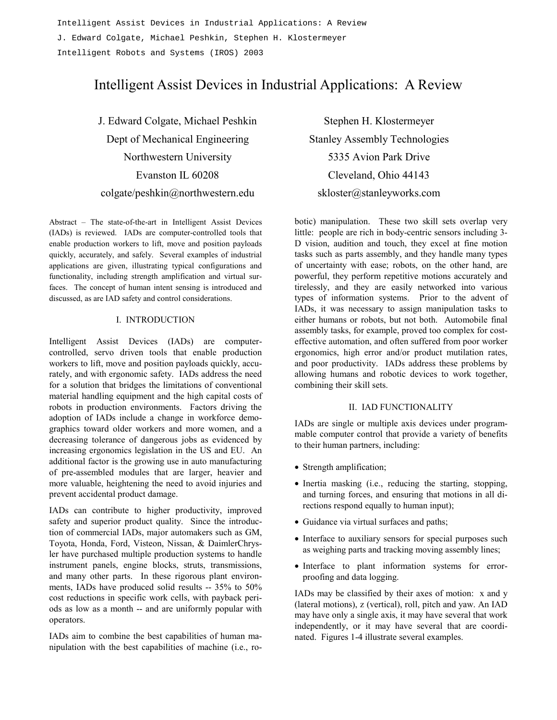Intelligent Assist Devices in Industrial Applications: A Review J. Edward Colgate, Michael Peshkin, Stephen H. Klostermeyer Intelligent Robots and Systems (IROS) 2003

# Intelligent Assist Devices in Industrial Applications: A Review

J. Edward Colgate, Michael Peshkin Stephen H. Klostermeyer Dept of Mechanical Engineering Stanley Assembly Technologies Northwestern University 5335 Avion Park Drive Evanston IL 60208 Cleveland, Ohio 44143 colgate/peshkin@northwestern.edu skloster@stanleyworks.com

Abstract – The state-of-the-art in Intelligent Assist Devices (IADs) is reviewed. IADs are computer-controlled tools that enable production workers to lift, move and position payloads quickly, accurately, and safely. Several examples of industrial applications are given, illustrating typical configurations and functionality, including strength amplification and virtual surfaces. The concept of human intent sensing is introduced and discussed, as are IAD safety and control considerations.

# I. INTRODUCTION

Intelligent Assist Devices (IADs) are computercontrolled, servo driven tools that enable production workers to lift, move and position payloads quickly, accurately, and with ergonomic safety. IADs address the need for a solution that bridges the limitations of conventional material handling equipment and the high capital costs of robots in production environments. Factors driving the adoption of IADs include a change in workforce demographics toward older workers and more women, and a decreasing tolerance of dangerous jobs as evidenced by increasing ergonomics legislation in the US and EU. An additional factor is the growing use in auto manufacturing of pre-assembled modules that are larger, heavier and more valuable, heightening the need to avoid injuries and prevent accidental product damage.

IADs can contribute to higher productivity, improved safety and superior product quality. Since the introduction of commercial IADs, major automakers such as GM, Toyota, Honda, Ford, Visteon, Nissan, & DaimlerChrysler have purchased multiple production systems to handle instrument panels, engine blocks, struts, transmissions, and many other parts. In these rigorous plant environments, IADs have produced solid results -- 35% to 50% cost reductions in specific work cells, with payback periods as low as a month -- and are uniformly popular with operators.

IADs aim to combine the best capabilities of human manipulation with the best capabilities of machine (i.e., ro-

botic) manipulation. These two skill sets overlap very little: people are rich in body-centric sensors including 3- D vision, audition and touch, they excel at fine motion tasks such as parts assembly, and they handle many types of uncertainty with ease; robots, on the other hand, are powerful, they perform repetitive motions accurately and tirelessly, and they are easily networked into various types of information systems. Prior to the advent of IADs, it was necessary to assign manipulation tasks to either humans or robots, but not both. Automobile final assembly tasks, for example, proved too complex for costeffective automation, and often suffered from poor worker ergonomics, high error and/or product mutilation rates, and poor productivity. IADs address these problems by allowing humans and robotic devices to work together, combining their skill sets.

# II. IAD FUNCTIONALITY

IADs are single or multiple axis devices under programmable computer control that provide a variety of benefits to their human partners, including:

- Strength amplification;
- Inertia masking (i.e., reducing the starting, stopping, and turning forces, and ensuring that motions in all directions respond equally to human input);
- Guidance via virtual surfaces and paths;
- Interface to auxiliary sensors for special purposes such as weighing parts and tracking moving assembly lines;
- Interface to plant information systems for errorproofing and data logging.

IADs may be classified by their axes of motion: x and y (lateral motions), z (vertical), roll, pitch and yaw. An IAD may have only a single axis, it may have several that work independently, or it may have several that are coordinated. Figures 1-4 illustrate several examples.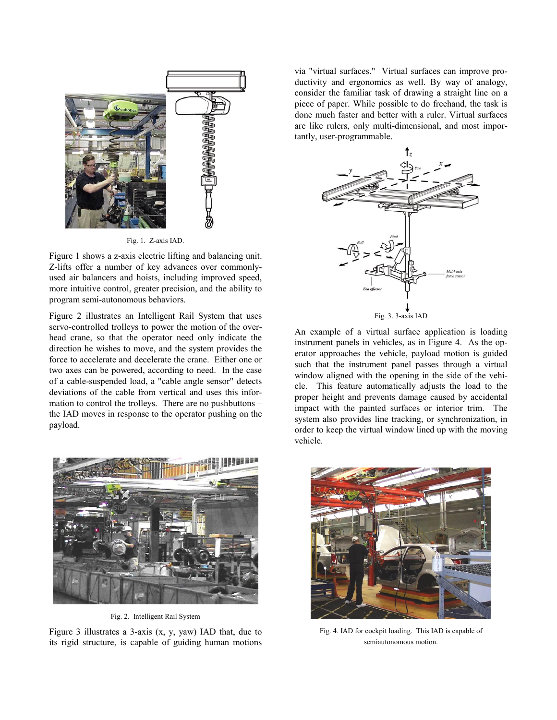

Fig. 1. Z-axis IAD.

Figure 1 shows a z-axis electric lifting and balancing unit. Z-lifts offer a number of key advances over commonlyused air balancers and hoists, including improved speed, more intuitive control, greater precision, and the ability to program semi-autonomous behaviors.

Figure 2 illustrates an Intelligent Rail System that uses servo-controlled trolleys to power the motion of the overhead crane, so that the operator need only indicate the direction he wishes to move, and the system provides the force to accelerate and decelerate the crane. Either one or two axes can be powered, according to need. In the case of a cable-suspended load, a "cable angle sensor" detects deviations of the cable from vertical and uses this information to control the trolleys. There are no pushbuttons – the IAD moves in response to the operator pushing on the payload.



Fig. 2. Intelligent Rail System

Figure 3 illustrates a 3-axis (x, y, yaw) IAD that, due to its rigid structure, is capable of guiding human motions via "virtual surfaces." Virtual surfaces can improve productivity and ergonomics as well. By way of analogy, consider the familiar task of drawing a straight line on a piece of paper. While possible to do freehand, the task is done much faster and better with a ruler. Virtual surfaces are like rulers, only multi-dimensional, and most importantly, user-programmable.



An example of a virtual surface application is loading instrument panels in vehicles, as in Figure 4. As the operator approaches the vehicle, payload motion is guided such that the instrument panel passes through a virtual window aligned with the opening in the side of the vehicle. This feature automatically adjusts the load to the proper height and prevents damage caused by accidental impact with the painted surfaces or interior trim. The system also provides line tracking, or synchronization, in order to keep the virtual window lined up with the moving vehicle.



Fig. 4. IAD for cockpit loading. This IAD is capable of semiautonomous motion.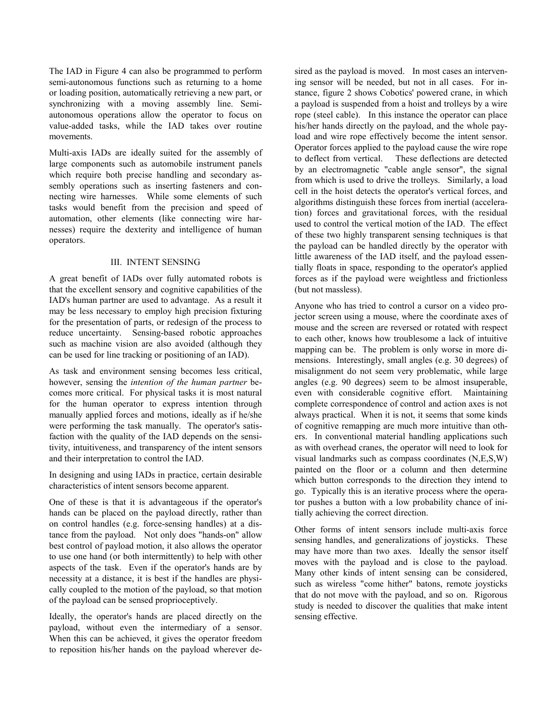The IAD in Figure 4 can also be programmed to perform semi-autonomous functions such as returning to a home or loading position, automatically retrieving a new part, or synchronizing with a moving assembly line. Semiautonomous operations allow the operator to focus on value-added tasks, while the IAD takes over routine movements.

Multi-axis IADs are ideally suited for the assembly of large components such as automobile instrument panels which require both precise handling and secondary assembly operations such as inserting fasteners and connecting wire harnesses. While some elements of such tasks would benefit from the precision and speed of automation, other elements (like connecting wire harnesses) require the dexterity and intelligence of human operators.

# III. INTENT SENSING

A great benefit of IADs over fully automated robots is that the excellent sensory and cognitive capabilities of the IAD's human partner are used to advantage. As a result it may be less necessary to employ high precision fixturing for the presentation of parts, or redesign of the process to reduce uncertainty. Sensing-based robotic approaches such as machine vision are also avoided (although they can be used for line tracking or positioning of an IAD).

As task and environment sensing becomes less critical, however, sensing the *intention of the human partner* becomes more critical. For physical tasks it is most natural for the human operator to express intention through manually applied forces and motions, ideally as if he/she were performing the task manually. The operator's satisfaction with the quality of the IAD depends on the sensitivity, intuitiveness, and transparency of the intent sensors and their interpretation to control the IAD.

In designing and using IADs in practice, certain desirable characteristics of intent sensors become apparent.

One of these is that it is advantageous if the operator's hands can be placed on the payload directly, rather than on control handles (e.g. force-sensing handles) at a distance from the payload. Not only does "hands-on" allow best control of payload motion, it also allows the operator to use one hand (or both intermittently) to help with other aspects of the task. Even if the operator's hands are by necessity at a distance, it is best if the handles are physically coupled to the motion of the payload, so that motion of the payload can be sensed proprioceptively.

Ideally, the operator's hands are placed directly on the payload, without even the intermediary of a sensor. When this can be achieved, it gives the operator freedom to reposition his/her hands on the payload wherever desired as the payload is moved. In most cases an intervening sensor will be needed, but not in all cases. For instance, figure 2 shows Cobotics' powered crane, in which a payload is suspended from a hoist and trolleys by a wire rope (steel cable). In this instance the operator can place his/her hands directly on the payload, and the whole payload and wire rope effectively become the intent sensor. Operator forces applied to the payload cause the wire rope to deflect from vertical. These deflections are detected by an electromagnetic "cable angle sensor", the signal from which is used to drive the trolleys. Similarly, a load cell in the hoist detects the operator's vertical forces, and algorithms distinguish these forces from inertial (acceleration) forces and gravitational forces, with the residual used to control the vertical motion of the IAD. The effect of these two highly transparent sensing techniques is that the payload can be handled directly by the operator with little awareness of the IAD itself, and the payload essentially floats in space, responding to the operator's applied forces as if the payload were weightless and frictionless (but not massless).

Anyone who has tried to control a cursor on a video projector screen using a mouse, where the coordinate axes of mouse and the screen are reversed or rotated with respect to each other, knows how troublesome a lack of intuitive mapping can be. The problem is only worse in more dimensions. Interestingly, small angles (e.g. 30 degrees) of misalignment do not seem very problematic, while large angles (e.g. 90 degrees) seem to be almost insuperable, even with considerable cognitive effort. Maintaining complete correspondence of control and action axes is not always practical. When it is not, it seems that some kinds of cognitive remapping are much more intuitive than others. In conventional material handling applications such as with overhead cranes, the operator will need to look for visual landmarks such as compass coordinates (N,E,S,W) painted on the floor or a column and then determine which button corresponds to the direction they intend to go. Typically this is an iterative process where the operator pushes a button with a low probability chance of initially achieving the correct direction.

Other forms of intent sensors include multi-axis force sensing handles, and generalizations of joysticks. These may have more than two axes. Ideally the sensor itself moves with the payload and is close to the payload. Many other kinds of intent sensing can be considered, such as wireless "come hither" batons, remote joysticks that do not move with the payload, and so on. Rigorous study is needed to discover the qualities that make intent sensing effective.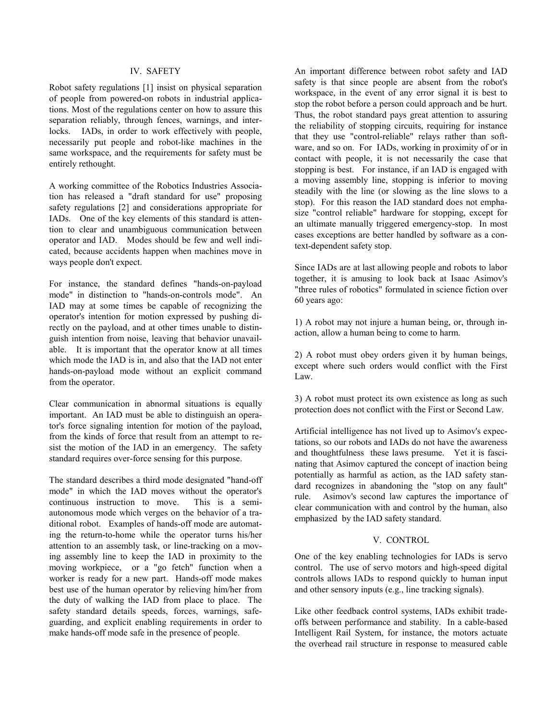# IV. SAFETY

Robot safety regulations [1] insist on physical separation of people from powered-on robots in industrial applications. Most of the regulations center on how to assure this separation reliably, through fences, warnings, and interlocks. IADs, in order to work effectively with people, necessarily put people and robot-like machines in the same workspace, and the requirements for safety must be entirely rethought.

A working committee of the Robotics Industries Association has released a "draft standard for use" proposing safety regulations [2] and considerations appropriate for IADs. One of the key elements of this standard is attention to clear and unambiguous communication between operator and IAD. Modes should be few and well indicated, because accidents happen when machines move in ways people don't expect.

For instance, the standard defines "hands-on-payload mode" in distinction to "hands-on-controls mode". An IAD may at some times be capable of recognizing the operator's intention for motion expressed by pushing directly on the payload, and at other times unable to distinguish intention from noise, leaving that behavior unavailable. It is important that the operator know at all times which mode the IAD is in, and also that the IAD not enter hands-on-payload mode without an explicit command from the operator.

Clear communication in abnormal situations is equally important. An IAD must be able to distinguish an operator's force signaling intention for motion of the payload, from the kinds of force that result from an attempt to resist the motion of the IAD in an emergency. The safety standard requires over-force sensing for this purpose.

The standard describes a third mode designated "hand-off mode" in which the IAD moves without the operator's continuous instruction to move. This is a semiautonomous mode which verges on the behavior of a traditional robot. Examples of hands-off mode are automating the return-to-home while the operator turns his/her attention to an assembly task, or line-tracking on a moving assembly line to keep the IAD in proximity to the moving workpiece, or a "go fetch" function when a worker is ready for a new part. Hands-off mode makes best use of the human operator by relieving him/her from the duty of walking the IAD from place to place. The safety standard details speeds, forces, warnings, safeguarding, and explicit enabling requirements in order to make hands-off mode safe in the presence of people.

An important difference between robot safety and IAD safety is that since people are absent from the robot's workspace, in the event of any error signal it is best to stop the robot before a person could approach and be hurt. Thus, the robot standard pays great attention to assuring the reliability of stopping circuits, requiring for instance that they use "control-reliable" relays rather than software, and so on. For IADs, working in proximity of or in contact with people, it is not necessarily the case that stopping is best. For instance, if an IAD is engaged with a moving assembly line, stopping is inferior to moving steadily with the line (or slowing as the line slows to a stop). For this reason the IAD standard does not emphasize "control reliable" hardware for stopping, except for an ultimate manually triggered emergency-stop. In most cases exceptions are better handled by software as a context-dependent safety stop.

Since IADs are at last allowing people and robots to labor together, it is amusing to look back at Isaac Asimov's "three rules of robotics" formulated in science fiction over 60 years ago:

1) A robot may not injure a human being, or, through inaction, allow a human being to come to harm.

2) A robot must obey orders given it by human beings, except where such orders would conflict with the First Law.

3) A robot must protect its own existence as long as such protection does not conflict with the First or Second Law.

Artificial intelligence has not lived up to Asimov's expectations, so our robots and IADs do not have the awareness and thoughtfulness these laws presume. Yet it is fascinating that Asimov captured the concept of inaction being potentially as harmful as action, as the IAD safety standard recognizes in abandoning the "stop on any fault" rule. Asimov's second law captures the importance of clear communication with and control by the human, also emphasized by the IAD safety standard.

# V. CONTROL

One of the key enabling technologies for IADs is servo control. The use of servo motors and high-speed digital controls allows IADs to respond quickly to human input and other sensory inputs (e.g., line tracking signals).

Like other feedback control systems, IADs exhibit tradeoffs between performance and stability. In a cable-based Intelligent Rail System, for instance, the motors actuate the overhead rail structure in response to measured cable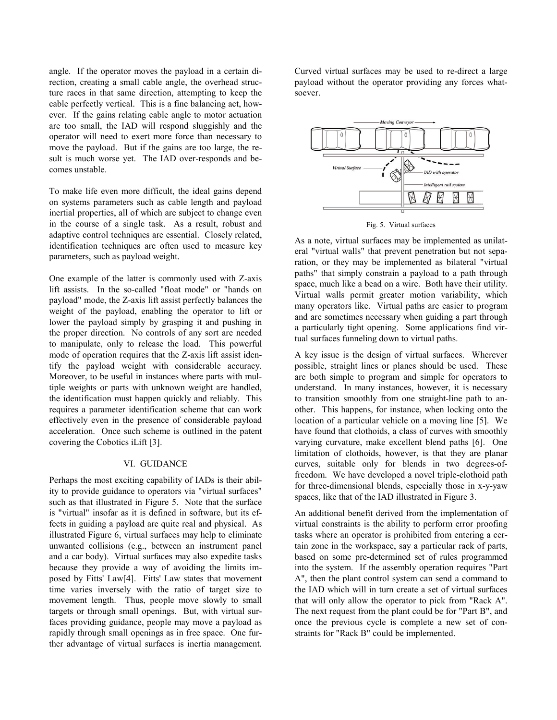angle. If the operator moves the payload in a certain direction, creating a small cable angle, the overhead structure races in that same direction, attempting to keep the cable perfectly vertical. This is a fine balancing act, however. If the gains relating cable angle to motor actuation are too small, the IAD will respond sluggishly and the operator will need to exert more force than necessary to move the payload. But if the gains are too large, the result is much worse yet. The IAD over-responds and becomes unstable.

To make life even more difficult, the ideal gains depend on systems parameters such as cable length and payload inertial properties, all of which are subject to change even in the course of a single task. As a result, robust and adaptive control techniques are essential. Closely related, identification techniques are often used to measure key parameters, such as payload weight.

One example of the latter is commonly used with Z-axis lift assists. In the so-called "float mode" or "hands on payload" mode, the Z-axis lift assist perfectly balances the weight of the payload, enabling the operator to lift or lower the payload simply by grasping it and pushing in the proper direction. No controls of any sort are needed to manipulate, only to release the load. This powerful mode of operation requires that the Z-axis lift assist identify the payload weight with considerable accuracy. Moreover, to be useful in instances where parts with multiple weights or parts with unknown weight are handled, the identification must happen quickly and reliably. This requires a parameter identification scheme that can work effectively even in the presence of considerable payload acceleration. Once such scheme is outlined in the patent covering the Cobotics iLift [3].

# VI. GUIDANCE

Perhaps the most exciting capability of IADs is their ability to provide guidance to operators via "virtual surfaces" such as that illustrated in Figure 5. Note that the surface is "virtual" insofar as it is defined in software, but its effects in guiding a payload are quite real and physical. As illustrated Figure 6, virtual surfaces may help to eliminate unwanted collisions (e.g., between an instrument panel and a car body). Virtual surfaces may also expedite tasks because they provide a way of avoiding the limits imposed by Fitts' Law[4]. Fitts' Law states that movement time varies inversely with the ratio of target size to movement length. Thus, people move slowly to small targets or through small openings. But, with virtual surfaces providing guidance, people may move a payload as rapidly through small openings as in free space. One further advantage of virtual surfaces is inertia management. Curved virtual surfaces may be used to re-direct a large payload without the operator providing any forces whatsoever.



Fig. 5. Virtual surfaces

As a note, virtual surfaces may be implemented as unilateral "virtual walls" that prevent penetration but not separation, or they may be implemented as bilateral "virtual paths" that simply constrain a payload to a path through space, much like a bead on a wire. Both have their utility. Virtual walls permit greater motion variability, which many operators like. Virtual paths are easier to program and are sometimes necessary when guiding a part through a particularly tight opening. Some applications find virtual surfaces funneling down to virtual paths.

A key issue is the design of virtual surfaces. Wherever possible, straight lines or planes should be used. These are both simple to program and simple for operators to understand. In many instances, however, it is necessary to transition smoothly from one straight-line path to another. This happens, for instance, when locking onto the location of a particular vehicle on a moving line [5]. We have found that clothoids, a class of curves with smoothly varying curvature, make excellent blend paths [6]. One limitation of clothoids, however, is that they are planar curves, suitable only for blends in two degrees-offreedom. We have developed a novel triple-clothoid path for three-dimensional blends, especially those in x-y-yaw spaces, like that of the IAD illustrated in Figure 3.

An additional benefit derived from the implementation of virtual constraints is the ability to perform error proofing tasks where an operator is prohibited from entering a certain zone in the workspace, say a particular rack of parts, based on some pre-determined set of rules programmed into the system. If the assembly operation requires "Part A", then the plant control system can send a command to the IAD which will in turn create a set of virtual surfaces that will only allow the operator to pick from "Rack A". The next request from the plant could be for "Part B", and once the previous cycle is complete a new set of constraints for "Rack B" could be implemented.